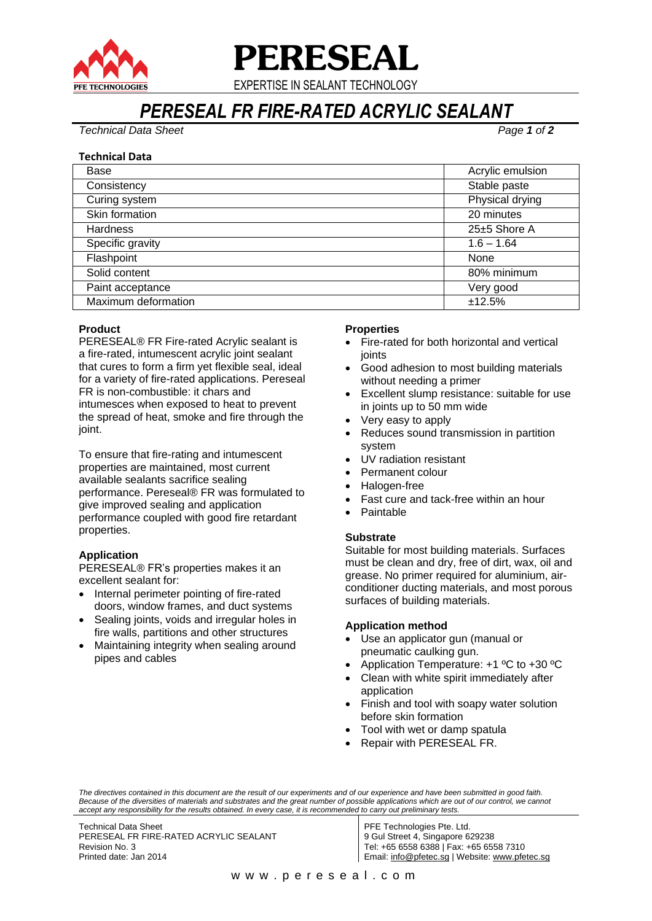

# **PERESEAL**

EXPERTISE IN SEALANT TECHNOLOGY

# *PERESEAL FR FIRE-RATED ACRYLIC SEALANT*

*Technical Data Sheet Page 1 of 2*

### **Technical Data**

| Base                | Acrylic emulsion |
|---------------------|------------------|
| Consistency         | Stable paste     |
| Curing system       | Physical drying  |
| Skin formation      | 20 minutes       |
| <b>Hardness</b>     | 25±5 Shore A     |
| Specific gravity    | $1.6 - 1.64$     |
| Flashpoint          | None             |
| Solid content       | 80% minimum      |
| Paint acceptance    | Very good        |
| Maximum deformation | ±12.5%           |

# **Product**

PERESEAL® FR Fire-rated Acrylic sealant is a fire-rated, intumescent acrylic joint sealant that cures to form a firm yet flexible seal, ideal for a variety of fire-rated applications. Pereseal FR is non-combustible: it chars and intumesces when exposed to heat to prevent the spread of heat, smoke and fire through the joint.

To ensure that fire-rating and intumescent properties are maintained, most current available sealants sacrifice sealing performance. Pereseal® FR was formulated to give improved sealing and application performance coupled with good fire retardant properties.

# **Application**

PERESEAL® FR's properties makes it an excellent sealant for:

- Internal perimeter pointing of fire-rated doors, window frames, and duct systems
- Sealing joints, voids and irregular holes in fire walls, partitions and other structures
- Maintaining integrity when sealing around pipes and cables

### **Properties**

- Fire-rated for both horizontal and vertical joints
- Good adhesion to most building materials without needing a primer
- Excellent slump resistance: suitable for use in joints up to 50 mm wide
- Very easy to apply
- Reduces sound transmission in partition system
- UV radiation resistant
- Permanent colour
- Halogen-free
- Fast cure and tack-free within an hour
- Paintable

# **Substrate**

Suitable for most building materials. Surfaces must be clean and dry, free of dirt, wax, oil and grease. No primer required for aluminium, airconditioner ducting materials, and most porous surfaces of building materials.

# **Application method**

- Use an applicator gun (manual or pneumatic caulking gun.
- Application Temperature: +1 ºC to +30 ºC
- Clean with white spirit immediately after application
- Finish and tool with soapy water solution before skin formation
- Tool with wet or damp spatula
- Repair with PERESEAL FR.

Technical Data Sheet PERESEAL FR FIRE-RATED ACRYLIC SEALANT Revision No. 3 Printed date: Jan 2014

PFE Technologies Pte. Ltd. 9 Gul Street 4, Singapore 629238 Tel: +65 6558 6388 | Fax: +65 6558 7310 Email: [info@pfetec.sg](mailto:info@pfetec.sg) | Website: www.pfetec.sg

*The directives contained in this document are the result of our experiments and of our experience and have been submitted in good faith. Because of the diversities of materials and substrates and the great number of possible applications which are out of our control, we cannot accept any responsibility for the results obtained. In every case, it is recommended to carry out preliminary tests.*